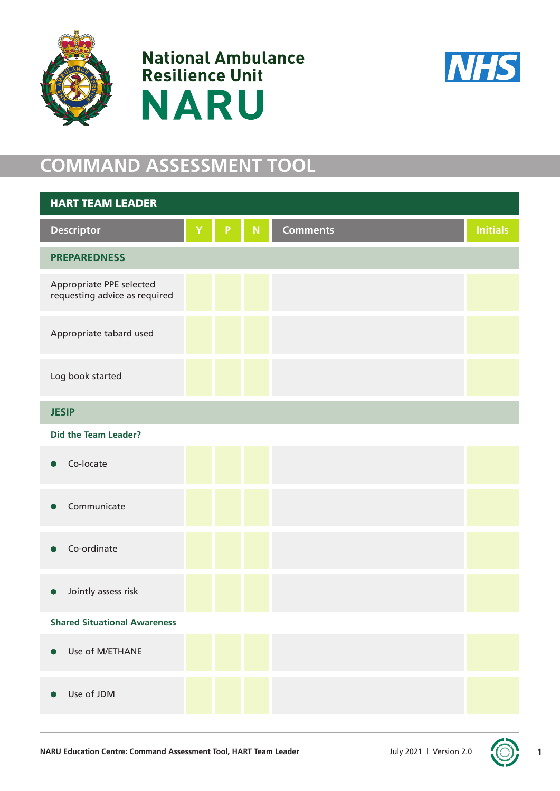





## **COMMAND ASSESSMENT TOOL**

| <b>HART TEAM LEADER</b>                                   |   |   |           |                 |                 |
|-----------------------------------------------------------|---|---|-----------|-----------------|-----------------|
| <b>Descriptor</b>                                         | Ÿ | P | ${\sf N}$ | <b>Comments</b> | <b>Initials</b> |
| <b>PREPAREDNESS</b>                                       |   |   |           |                 |                 |
| Appropriate PPE selected<br>requesting advice as required |   |   |           |                 |                 |
| Appropriate tabard used                                   |   |   |           |                 |                 |
| Log book started                                          |   |   |           |                 |                 |
| <b>JESIP</b>                                              |   |   |           |                 |                 |
| <b>Did the Team Leader?</b>                               |   |   |           |                 |                 |
| Co-locate<br>$\bullet$                                    |   |   |           |                 |                 |
| Communicate                                               |   |   |           |                 |                 |
| Co-ordinate                                               |   |   |           |                 |                 |
| Jointly assess risk                                       |   |   |           |                 |                 |
| <b>Shared Situational Awareness</b>                       |   |   |           |                 |                 |
| Use of M/ETHANE<br>$\bullet$                              |   |   |           |                 |                 |
| Use of JDM<br>$\bullet$                                   |   |   |           |                 |                 |



**1**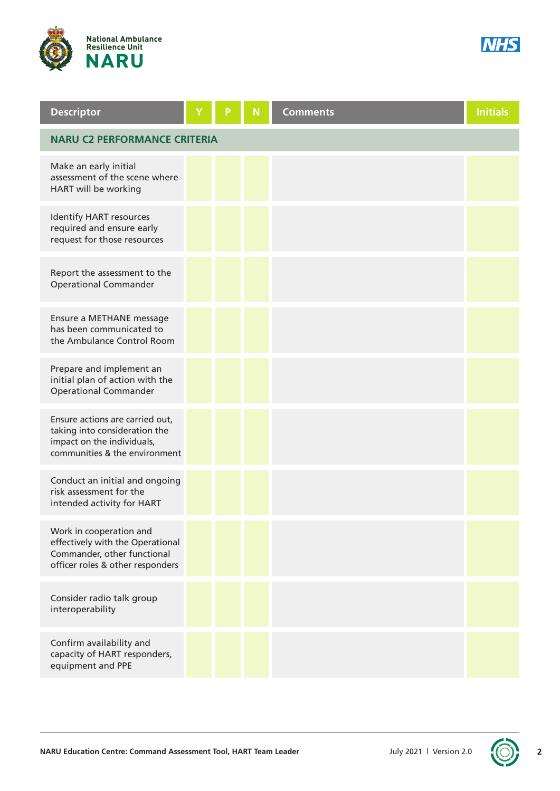



| <b>Descriptor</b>                                                                                                               |  | P | N | <b>Comments</b> | <b>Initials</b> |  |
|---------------------------------------------------------------------------------------------------------------------------------|--|---|---|-----------------|-----------------|--|
| <b>NARU C2 PERFORMANCE CRITERIA</b>                                                                                             |  |   |   |                 |                 |  |
| Make an early initial<br>assessment of the scene where<br>HART will be working                                                  |  |   |   |                 |                 |  |
| Identify HART resources<br>required and ensure early<br>request for those resources                                             |  |   |   |                 |                 |  |
| Report the assessment to the<br><b>Operational Commander</b>                                                                    |  |   |   |                 |                 |  |
| Ensure a METHANE message<br>has been communicated to<br>the Ambulance Control Room                                              |  |   |   |                 |                 |  |
| Prepare and implement an<br>initial plan of action with the<br><b>Operational Commander</b>                                     |  |   |   |                 |                 |  |
| Ensure actions are carried out,<br>taking into consideration the<br>impact on the individuals,<br>communities & the environment |  |   |   |                 |                 |  |
| Conduct an initial and ongoing<br>risk assessment for the<br>intended activity for HART                                         |  |   |   |                 |                 |  |
| Work in cooperation and<br>effectively with the Operational<br>Commander, other functional<br>officer roles & other responders  |  |   |   |                 |                 |  |
| Consider radio talk group<br>interoperability                                                                                   |  |   |   |                 |                 |  |
| Confirm availability and<br>capacity of HART responders,<br>equipment and PPE                                                   |  |   |   |                 |                 |  |

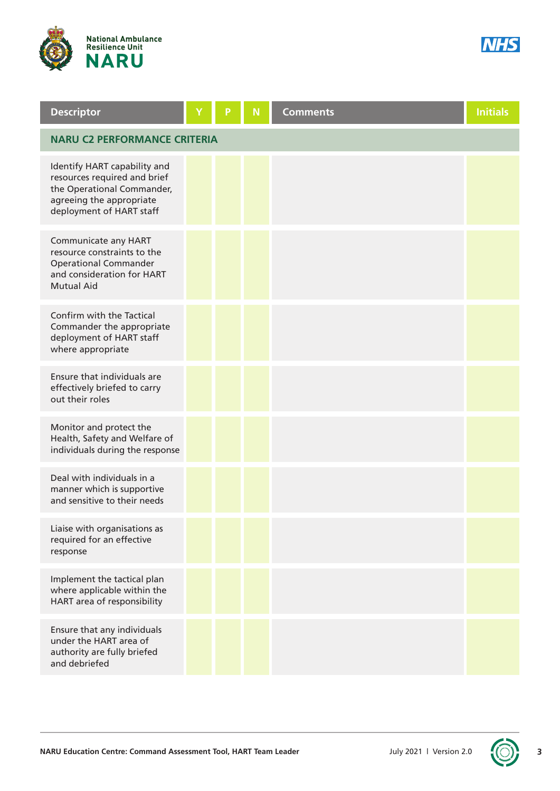



| <b>Descriptor</b>                                                                                                                                  |  | p | N | <b>Comments</b> | <b>Initials</b> |
|----------------------------------------------------------------------------------------------------------------------------------------------------|--|---|---|-----------------|-----------------|
| <b>NARU C2 PERFORMANCE CRITERIA</b>                                                                                                                |  |   |   |                 |                 |
| Identify HART capability and<br>resources required and brief<br>the Operational Commander,<br>agreeing the appropriate<br>deployment of HART staff |  |   |   |                 |                 |
| Communicate any HART<br>resource constraints to the<br><b>Operational Commander</b><br>and consideration for HART<br><b>Mutual Aid</b>             |  |   |   |                 |                 |
| Confirm with the Tactical<br>Commander the appropriate<br>deployment of HART staff<br>where appropriate                                            |  |   |   |                 |                 |
| Ensure that individuals are<br>effectively briefed to carry<br>out their roles                                                                     |  |   |   |                 |                 |
| Monitor and protect the<br>Health, Safety and Welfare of<br>individuals during the response                                                        |  |   |   |                 |                 |
| Deal with individuals in a<br>manner which is supportive<br>and sensitive to their needs                                                           |  |   |   |                 |                 |
| Liaise with organisations as<br>required for an effective<br>response                                                                              |  |   |   |                 |                 |
| Implement the tactical plan<br>where applicable within the<br>HART area of responsibility                                                          |  |   |   |                 |                 |
| Ensure that any individuals<br>under the HART area of<br>authority are fully briefed<br>and debriefed                                              |  |   |   |                 |                 |